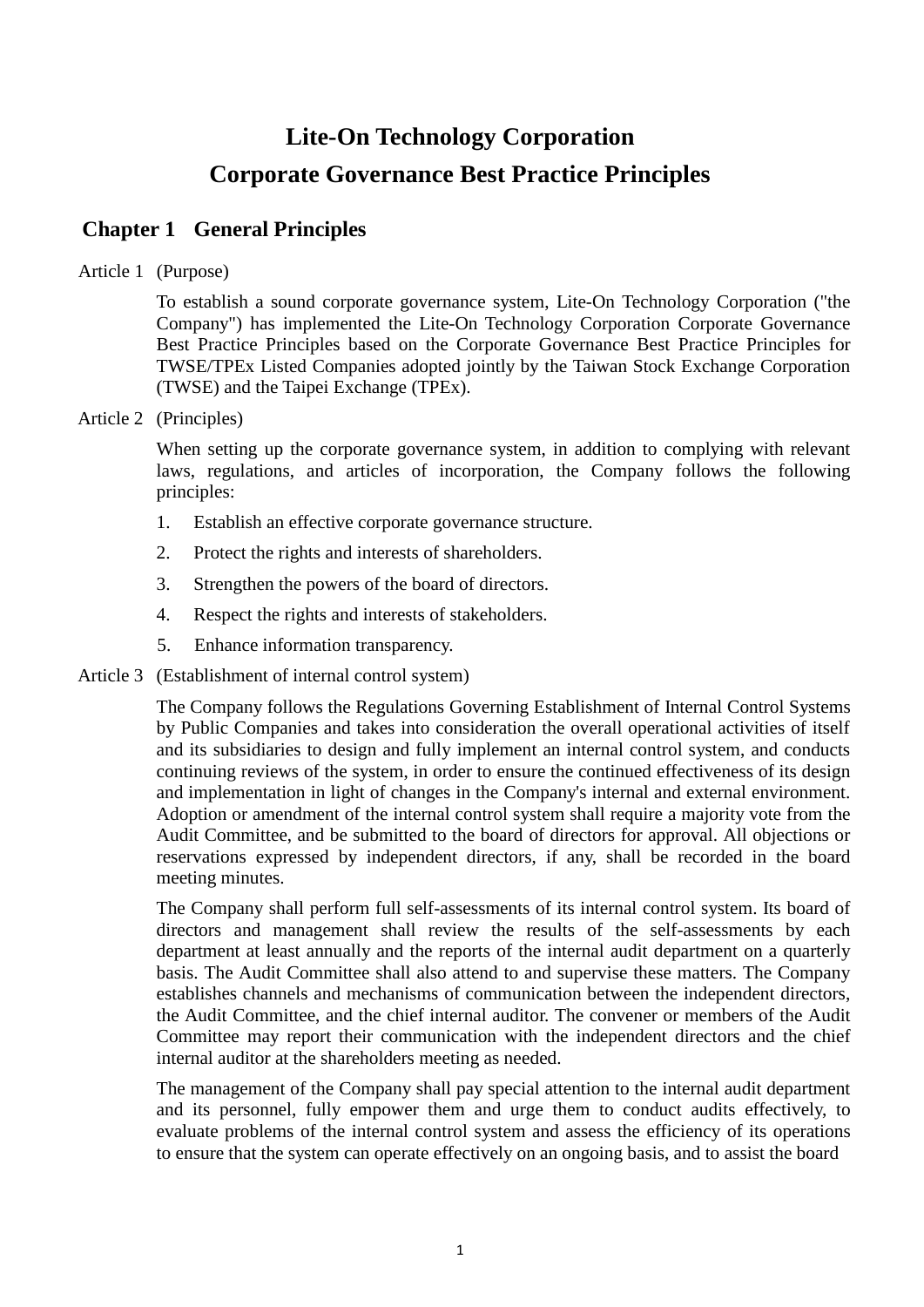# **Lite-On Technology Corporation Corporate Governance Best Practice Principles**

# **Chapter 1 General Principles**

## Article 1 (Purpose)

To establish a sound corporate governance system, Lite-On Technology Corporation ("the Company") has implemented the Lite-On Technology Corporation Corporate Governance Best Practice Principles based on the Corporate Governance Best Practice Principles for TWSE/TPEx Listed Companies adopted jointly by the Taiwan Stock Exchange Corporation (TWSE) and the Taipei Exchange (TPEx).

#### Article 2 (Principles)

When setting up the corporate governance system, in addition to complying with relevant laws, regulations, and articles of incorporation, the Company follows the following principles:

- 1. Establish an effective corporate governance structure.
- 2. Protect the rights and interests of shareholders.
- 3. Strengthen the powers of the board of directors.
- 4. Respect the rights and interests of stakeholders.
- 5. Enhance information transparency.

#### Article 3 (Establishment of internal control system)

The Company follows the Regulations Governing Establishment of Internal Control Systems by Public Companies and takes into consideration the overall operational activities of itself and its subsidiaries to design and fully implement an internal control system, and conducts continuing reviews of the system, in order to ensure the continued effectiveness of its design and implementation in light of changes in the Company's internal and external environment. Adoption or amendment of the internal control system shall require a majority vote from the Audit Committee, and be submitted to the board of directors for approval. All objections or reservations expressed by independent directors, if any, shall be recorded in the board meeting minutes.

The Company shall perform full self-assessments of its internal control system. Its board of directors and management shall review the results of the self-assessments by each department at least annually and the reports of the internal audit department on a quarterly basis. The Audit Committee shall also attend to and supervise these matters. The Company establishes channels and mechanisms of communication between the independent directors, the Audit Committee, and the chief internal auditor. The convener or members of the Audit Committee may report their communication with the independent directors and the chief internal auditor at the shareholders meeting as needed.

The management of the Company shall pay special attention to the internal audit department and its personnel, fully empower them and urge them to conduct audits effectively, to evaluate problems of the internal control system and assess the efficiency of its operations to ensure that the system can operate effectively on an ongoing basis, and to assist the board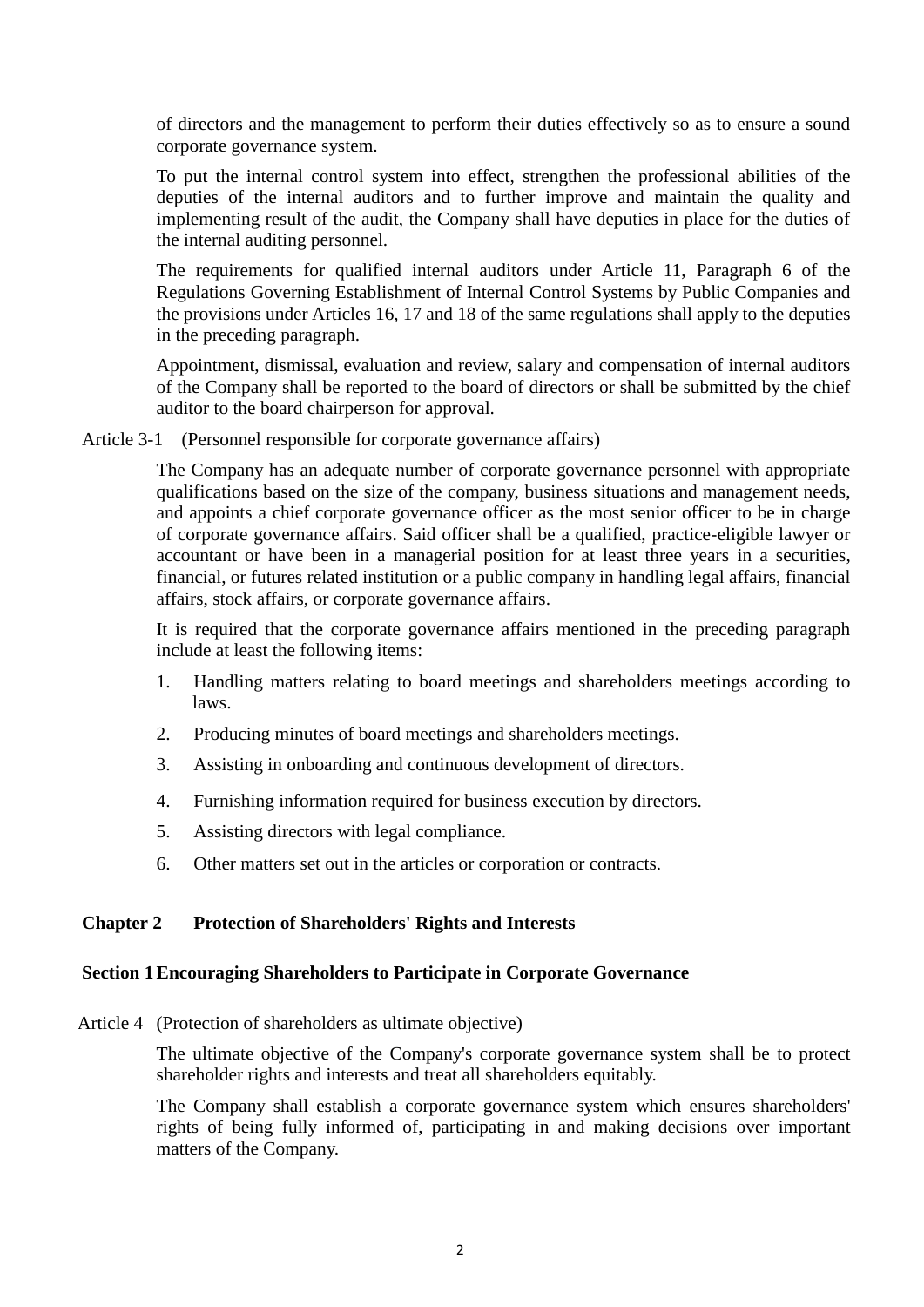of directors and the management to perform their duties effectively so as to ensure a sound corporate governance system.

To put the internal control system into effect, strengthen the professional abilities of the deputies of the internal auditors and to further improve and maintain the quality and implementing result of the audit, the Company shall have deputies in place for the duties of the internal auditing personnel.

The requirements for qualified internal auditors under Article 11, Paragraph 6 of the Regulations Governing Establishment of Internal Control Systems by Public Companies and the provisions under Articles 16, 17 and 18 of the same regulations shall apply to the deputies in the preceding paragraph.

Appointment, dismissal, evaluation and review, salary and compensation of internal auditors of the Company shall be reported to the board of directors or shall be submitted by the chief auditor to the board chairperson for approval.

Article 3-1 (Personnel responsible for corporate governance affairs)

The Company has an adequate number of corporate governance personnel with appropriate qualifications based on the size of the company, business situations and management needs, and appoints a chief corporate governance officer as the most senior officer to be in charge of corporate governance affairs. Said officer shall be a qualified, practice-eligible lawyer or accountant or have been in a managerial position for at least three years in a securities, financial, or futures related institution or a public company in handling legal affairs, financial affairs, stock affairs, or corporate governance affairs.

It is required that the corporate governance affairs mentioned in the preceding paragraph include at least the following items:

- 1. Handling matters relating to board meetings and shareholders meetings according to laws.
- 2. Producing minutes of board meetings and shareholders meetings.
- 3. Assisting in onboarding and continuous development of directors.
- 4. Furnishing information required for business execution by directors.
- 5. Assisting directors with legal compliance.
- 6. Other matters set out in the articles or corporation or contracts.

#### **Chapter 2 Protection of Shareholders' Rights and Interests**

#### **Section 1Encouraging Shareholders to Participate in Corporate Governance**

Article 4 (Protection of shareholders as ultimate objective)

The ultimate objective of the Company's corporate governance system shall be to protect shareholder rights and interests and treat all shareholders equitably.

The Company shall establish a corporate governance system which ensures shareholders' rights of being fully informed of, participating in and making decisions over important matters of the Company.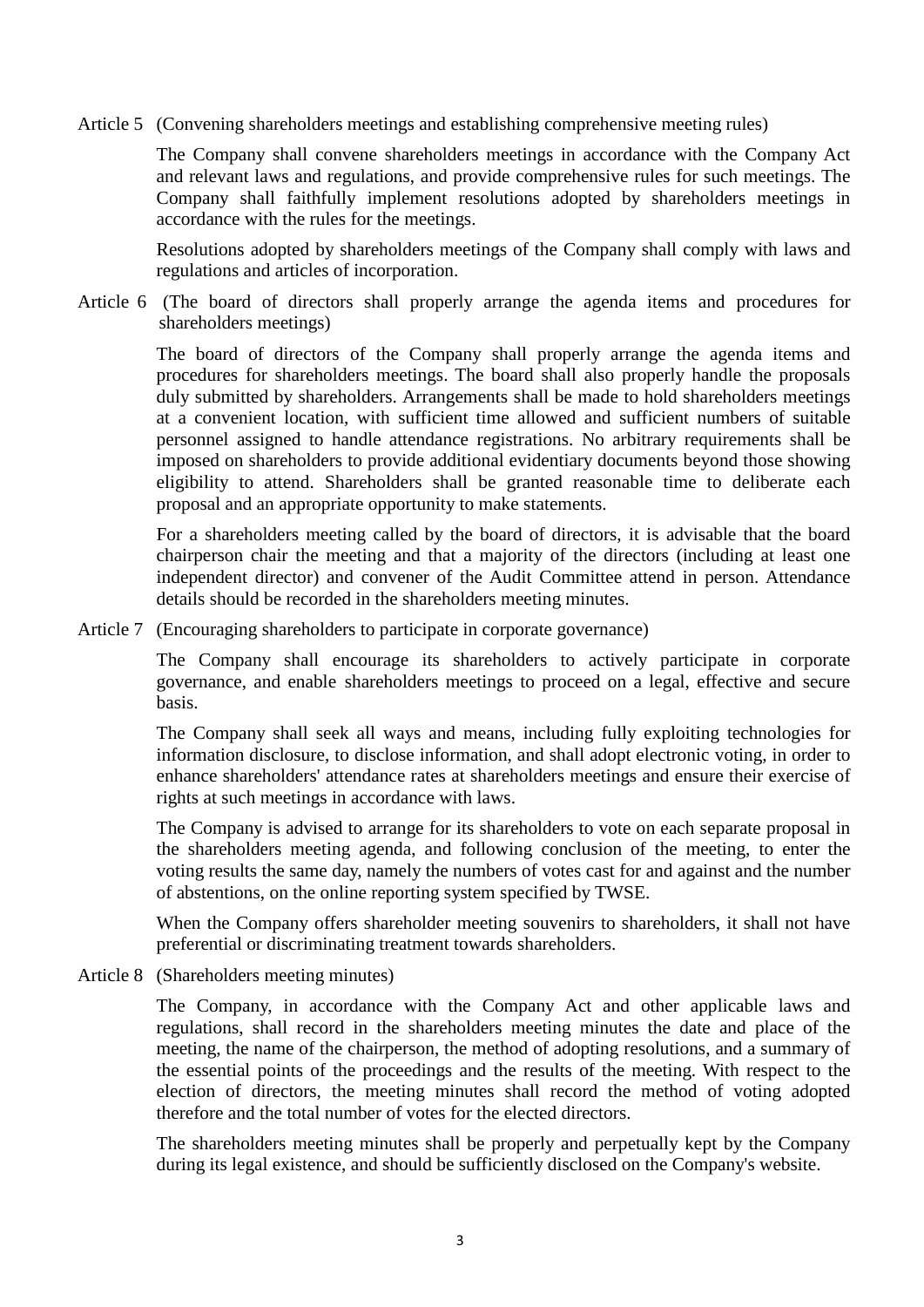Article 5 (Convening shareholders meetings and establishing comprehensive meeting rules)

The Company shall convene shareholders meetings in accordance with the Company Act and relevant laws and regulations, and provide comprehensive rules for such meetings. The Company shall faithfully implement resolutions adopted by shareholders meetings in accordance with the rules for the meetings.

Resolutions adopted by shareholders meetings of the Company shall comply with laws and regulations and articles of incorporation.

Article 6 (The board of directors shall properly arrange the agenda items and procedures for shareholders meetings)

> The board of directors of the Company shall properly arrange the agenda items and procedures for shareholders meetings. The board shall also properly handle the proposals duly submitted by shareholders. Arrangements shall be made to hold shareholders meetings at a convenient location, with sufficient time allowed and sufficient numbers of suitable personnel assigned to handle attendance registrations. No arbitrary requirements shall be imposed on shareholders to provide additional evidentiary documents beyond those showing eligibility to attend. Shareholders shall be granted reasonable time to deliberate each proposal and an appropriate opportunity to make statements.

> For a shareholders meeting called by the board of directors, it is advisable that the board chairperson chair the meeting and that a majority of the directors (including at least one independent director) and convener of the Audit Committee attend in person. Attendance details should be recorded in the shareholders meeting minutes.

Article 7 (Encouraging shareholders to participate in corporate governance)

The Company shall encourage its shareholders to actively participate in corporate governance, and enable shareholders meetings to proceed on a legal, effective and secure basis.

The Company shall seek all ways and means, including fully exploiting technologies for information disclosure, to disclose information, and shall adopt electronic voting, in order to enhance shareholders' attendance rates at shareholders meetings and ensure their exercise of rights at such meetings in accordance with laws.

The Company is advised to arrange for its shareholders to vote on each separate proposal in the shareholders meeting agenda, and following conclusion of the meeting, to enter the voting results the same day, namely the numbers of votes cast for and against and the number of abstentions, on the online reporting system specified by TWSE.

When the Company offers shareholder meeting souvenirs to shareholders, it shall not have preferential or discriminating treatment towards shareholders.

Article 8 (Shareholders meeting minutes)

The Company, in accordance with the Company Act and other applicable laws and regulations, shall record in the shareholders meeting minutes the date and place of the meeting, the name of the chairperson, the method of adopting resolutions, and a summary of the essential points of the proceedings and the results of the meeting. With respect to the election of directors, the meeting minutes shall record the method of voting adopted therefore and the total number of votes for the elected directors.

The shareholders meeting minutes shall be properly and perpetually kept by the Company during its legal existence, and should be sufficiently disclosed on the Company's website.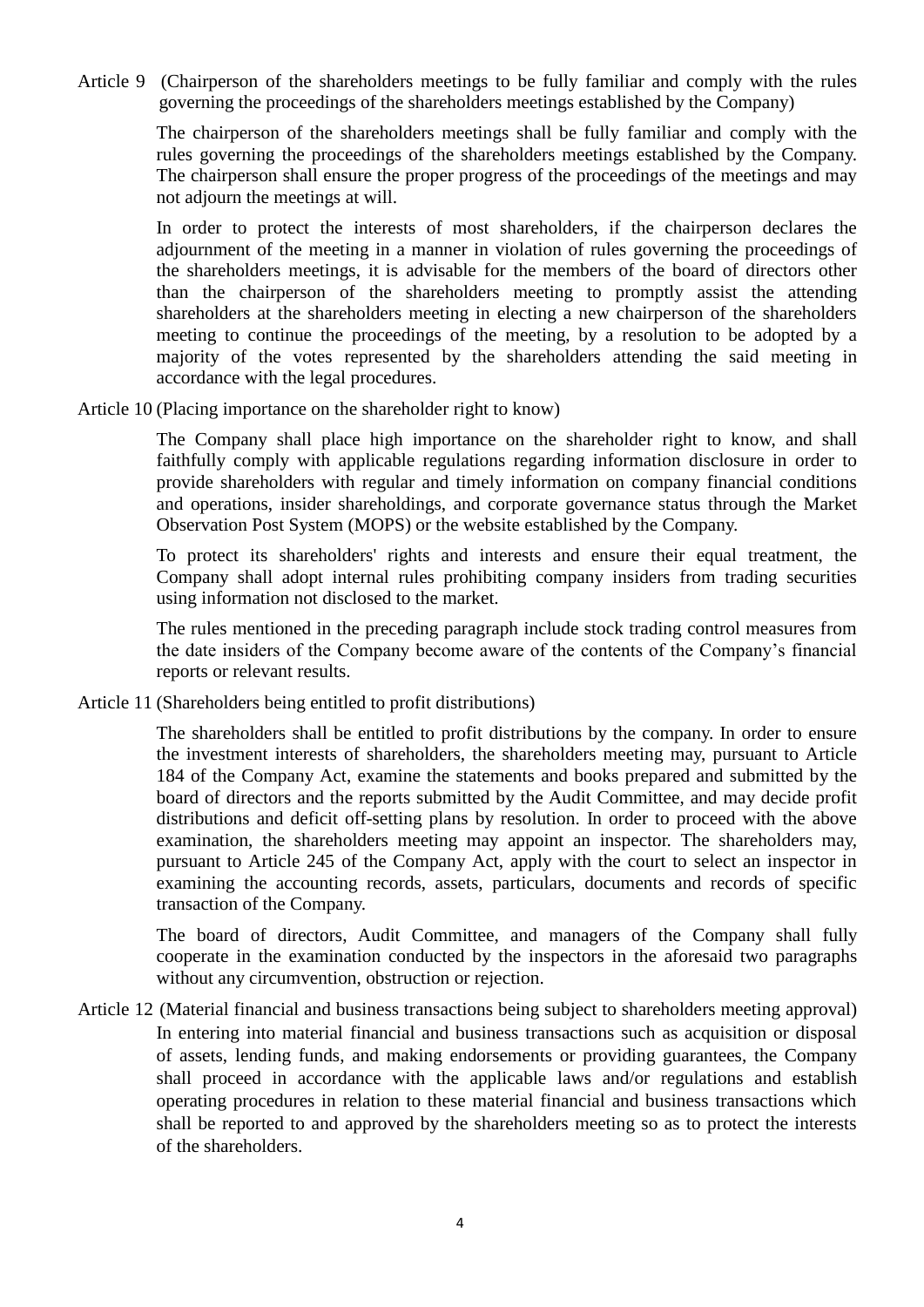Article 9 (Chairperson of the shareholders meetings to be fully familiar and comply with the rules governing the proceedings of the shareholders meetings established by the Company)

> The chairperson of the shareholders meetings shall be fully familiar and comply with the rules governing the proceedings of the shareholders meetings established by the Company. The chairperson shall ensure the proper progress of the proceedings of the meetings and may not adjourn the meetings at will.

> In order to protect the interests of most shareholders, if the chairperson declares the adjournment of the meeting in a manner in violation of rules governing the proceedings of the shareholders meetings, it is advisable for the members of the board of directors other than the chairperson of the shareholders meeting to promptly assist the attending shareholders at the shareholders meeting in electing a new chairperson of the shareholders meeting to continue the proceedings of the meeting, by a resolution to be adopted by a majority of the votes represented by the shareholders attending the said meeting in accordance with the legal procedures.

Article 10 (Placing importance on the shareholder right to know)

The Company shall place high importance on the shareholder right to know, and shall faithfully comply with applicable regulations regarding information disclosure in order to provide shareholders with regular and timely information on company financial conditions and operations, insider shareholdings, and corporate governance status through the Market Observation Post System (MOPS) or the website established by the Company.

To protect its shareholders' rights and interests and ensure their equal treatment, the Company shall adopt internal rules prohibiting company insiders from trading securities using information not disclosed to the market.

The rules mentioned in the preceding paragraph include stock trading control measures from the date insiders of the Company become aware of the contents of the Company's financial reports or relevant results.

Article 11 (Shareholders being entitled to profit distributions)

The shareholders shall be entitled to profit distributions by the company. In order to ensure the investment interests of shareholders, the shareholders meeting may, pursuant to Article 184 of the Company Act, examine the statements and books prepared and submitted by the board of directors and the reports submitted by the Audit Committee, and may decide profit distributions and deficit off-setting plans by resolution. In order to proceed with the above examination, the shareholders meeting may appoint an inspector. The shareholders may, pursuant to Article 245 of the Company Act, apply with the court to select an inspector in examining the accounting records, assets, particulars, documents and records of specific transaction of the Company.

The board of directors, Audit Committee, and managers of the Company shall fully cooperate in the examination conducted by the inspectors in the aforesaid two paragraphs without any circumvention, obstruction or rejection.

Article 12 (Material financial and business transactions being subject to shareholders meeting approval) In entering into material financial and business transactions such as acquisition or disposal of assets, lending funds, and making endorsements or providing guarantees, the Company shall proceed in accordance with the applicable laws and/or regulations and establish operating procedures in relation to these material financial and business transactions which shall be reported to and approved by the shareholders meeting so as to protect the interests of the shareholders.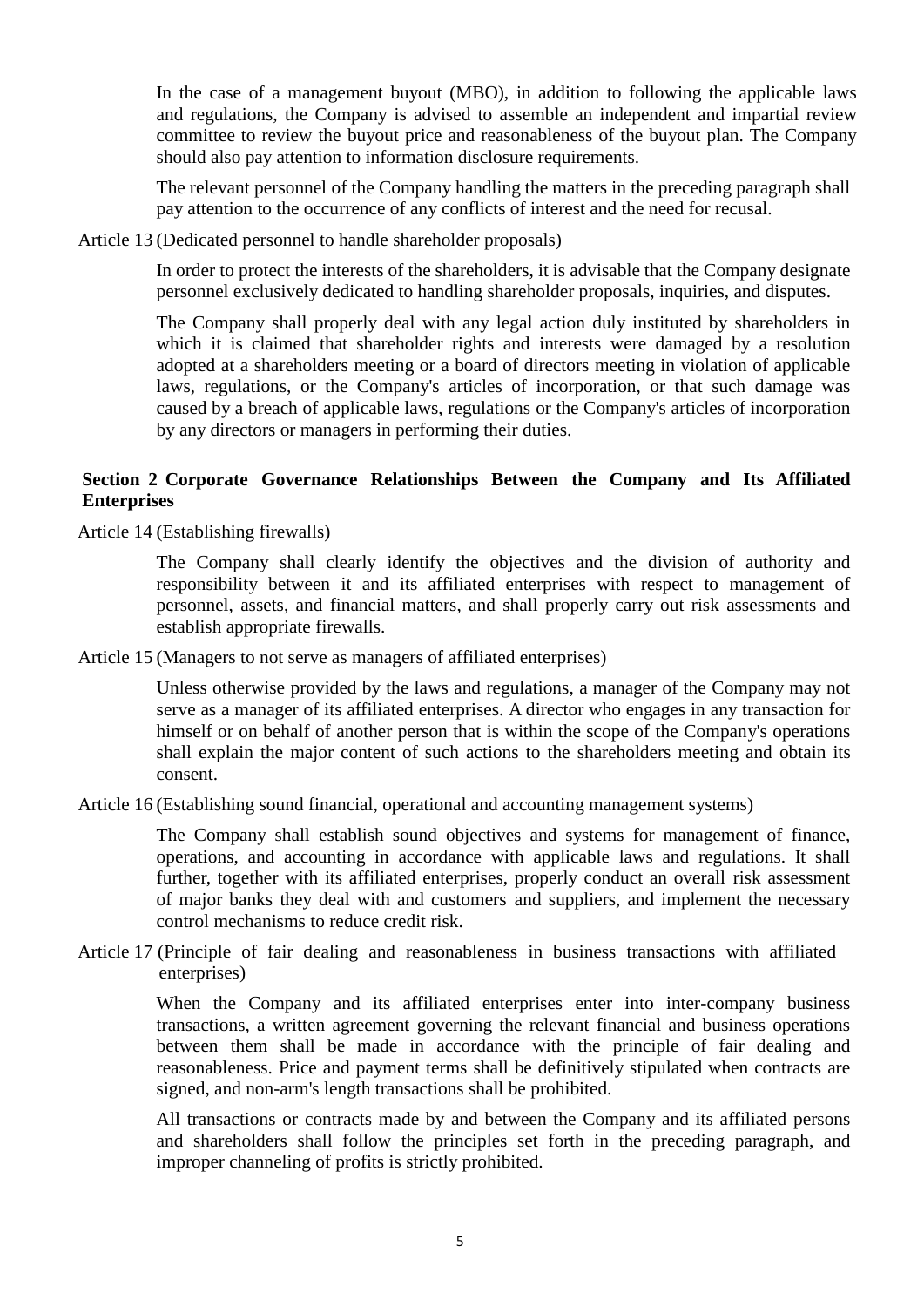In the case of a management buyout (MBO), in addition to following the applicable laws and regulations, the Company is advised to assemble an independent and impartial review committee to review the buyout price and reasonableness of the buyout plan. The Company should also pay attention to information disclosure requirements.

The relevant personnel of the Company handling the matters in the preceding paragraph shall pay attention to the occurrence of any conflicts of interest and the need for recusal.

Article 13 (Dedicated personnel to handle shareholder proposals)

In order to protect the interests of the shareholders, it is advisable that the Company designate personnel exclusively dedicated to handling shareholder proposals, inquiries, and disputes.

The Company shall properly deal with any legal action duly instituted by shareholders in which it is claimed that shareholder rights and interests were damaged by a resolution adopted at a shareholders meeting or a board of directors meeting in violation of applicable laws, regulations, or the Company's articles of incorporation, or that such damage was caused by a breach of applicable laws, regulations or the Company's articles of incorporation by any directors or managers in performing their duties.

## **Section 2 Corporate Governance Relationships Between the Company and Its Affiliated Enterprises**

Article 14 (Establishing firewalls)

The Company shall clearly identify the objectives and the division of authority and responsibility between it and its affiliated enterprises with respect to management of personnel, assets, and financial matters, and shall properly carry out risk assessments and establish appropriate firewalls.

Article 15 (Managers to not serve as managers of affiliated enterprises)

Unless otherwise provided by the laws and regulations, a manager of the Company may not serve as a manager of its affiliated enterprises. A director who engages in any transaction for himself or on behalf of another person that is within the scope of the Company's operations shall explain the major content of such actions to the shareholders meeting and obtain its consent.

Article 16 (Establishing sound financial, operational and accounting management systems)

The Company shall establish sound objectives and systems for management of finance, operations, and accounting in accordance with applicable laws and regulations. It shall further, together with its affiliated enterprises, properly conduct an overall risk assessment of major banks they deal with and customers and suppliers, and implement the necessary control mechanisms to reduce credit risk.

Article 17 (Principle of fair dealing and reasonableness in business transactions with affiliated enterprises)

> When the Company and its affiliated enterprises enter into inter-company business transactions, a written agreement governing the relevant financial and business operations between them shall be made in accordance with the principle of fair dealing and reasonableness. Price and payment terms shall be definitively stipulated when contracts are signed, and non-arm's length transactions shall be prohibited.

> All transactions or contracts made by and between the Company and its affiliated persons and shareholders shall follow the principles set forth in the preceding paragraph, and improper channeling of profits is strictly prohibited.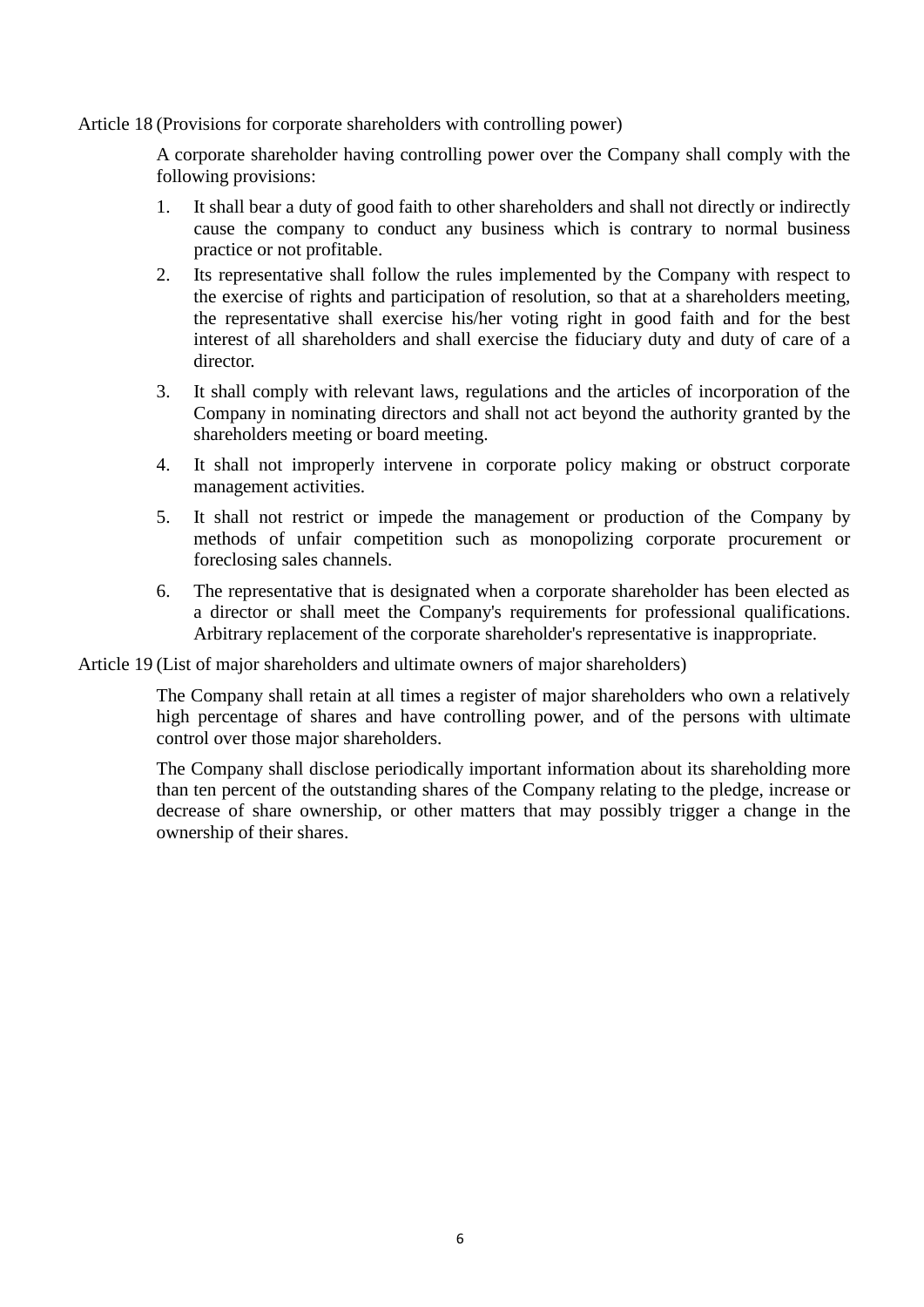Article 18 (Provisions for corporate shareholders with controlling power)

A corporate shareholder having controlling power over the Company shall comply with the following provisions:

- 1. It shall bear a duty of good faith to other shareholders and shall not directly or indirectly cause the company to conduct any business which is contrary to normal business practice or not profitable.
- 2. Its representative shall follow the rules implemented by the Company with respect to the exercise of rights and participation of resolution, so that at a shareholders meeting, the representative shall exercise his/her voting right in good faith and for the best interest of all shareholders and shall exercise the fiduciary duty and duty of care of a director.
- 3. It shall comply with relevant laws, regulations and the articles of incorporation of the Company in nominating directors and shall not act beyond the authority granted by the shareholders meeting or board meeting.
- 4. It shall not improperly intervene in corporate policy making or obstruct corporate management activities.
- 5. It shall not restrict or impede the management or production of the Company by methods of unfair competition such as monopolizing corporate procurement or foreclosing sales channels.
- 6. The representative that is designated when a corporate shareholder has been elected as a director or shall meet the Company's requirements for professional qualifications. Arbitrary replacement of the corporate shareholder's representative is inappropriate.

Article 19 (List of major shareholders and ultimate owners of major shareholders)

The Company shall retain at all times a register of major shareholders who own a relatively high percentage of shares and have controlling power, and of the persons with ultimate control over those major shareholders.

The Company shall disclose periodically important information about its shareholding more than ten percent of the outstanding shares of the Company relating to the pledge, increase or decrease of share ownership, or other matters that may possibly trigger a change in the ownership of their shares.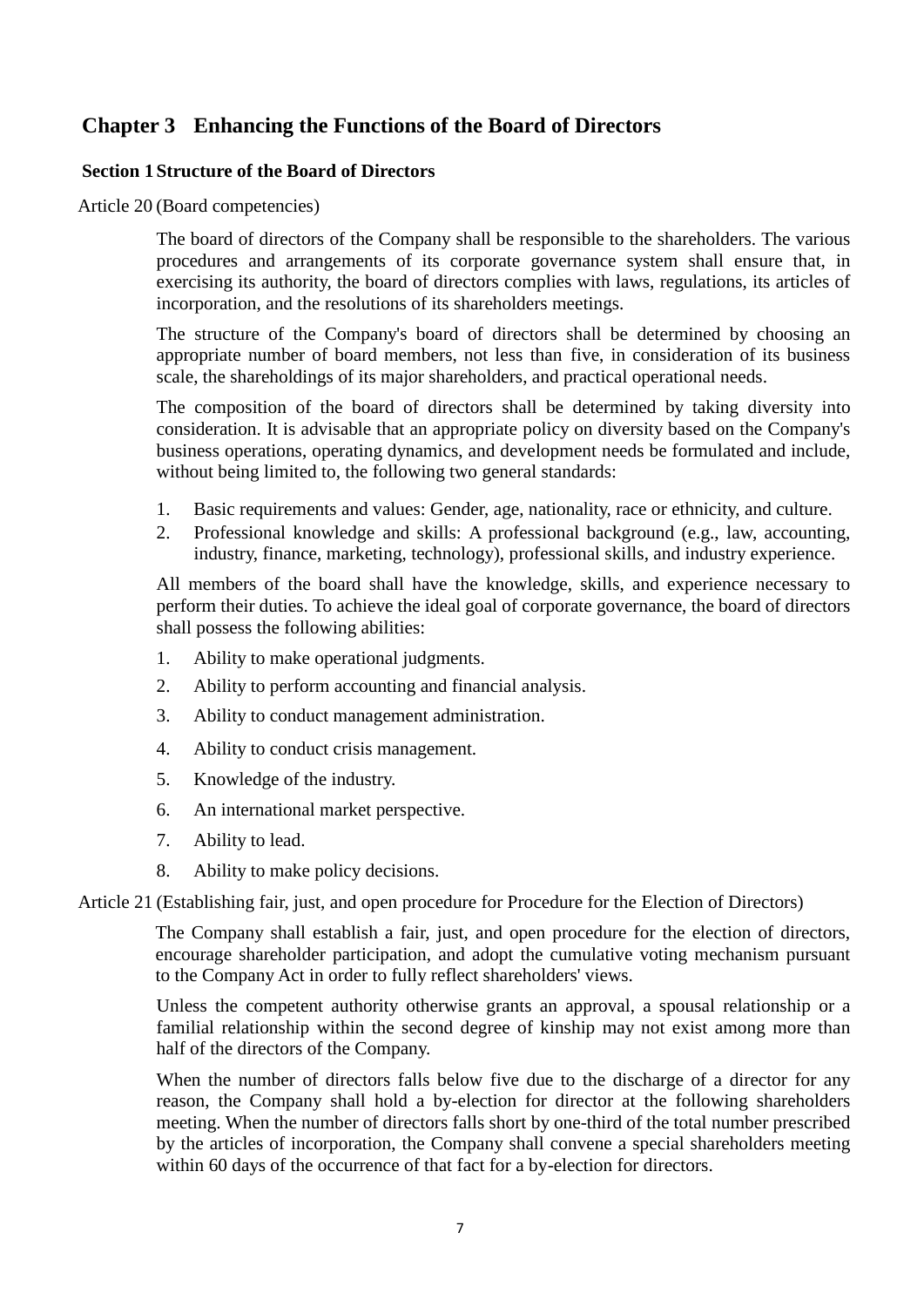# **Chapter 3 Enhancing the Functions of the Board of Directors**

### **Section 1 Structure of the Board of Directors**

Article 20 (Board competencies)

The board of directors of the Company shall be responsible to the shareholders. The various procedures and arrangements of its corporate governance system shall ensure that, in exercising its authority, the board of directors complies with laws, regulations, its articles of incorporation, and the resolutions of its shareholders meetings.

The structure of the Company's board of directors shall be determined by choosing an appropriate number of board members, not less than five, in consideration of its business scale, the shareholdings of its major shareholders, and practical operational needs.

The composition of the board of directors shall be determined by taking diversity into consideration. It is advisable that an appropriate policy on diversity based on the Company's business operations, operating dynamics, and development needs be formulated and include, without being limited to, the following two general standards:

- 1. Basic requirements and values: Gender, age, nationality, race or ethnicity, and culture.
- 2. Professional knowledge and skills: A professional background (e.g., law, accounting, industry, finance, marketing, technology), professional skills, and industry experience.

All members of the board shall have the knowledge, skills, and experience necessary to perform their duties. To achieve the ideal goal of corporate governance, the board of directors shall possess the following abilities:

- 1. Ability to make operational judgments.
- 2. Ability to perform accounting and financial analysis.
- 3. Ability to conduct management administration.
- 4. Ability to conduct crisis management.
- 5. Knowledge of the industry.
- 6. An international market perspective.
- 7. Ability to lead.
- 8. Ability to make policy decisions.

Article 21 (Establishing fair, just, and open procedure for Procedure for the Election of Directors)

The Company shall establish a fair, just, and open procedure for the election of directors, encourage shareholder participation, and adopt the cumulative voting mechanism pursuant to the Company Act in order to fully reflect shareholders' views.

Unless the competent authority otherwise grants an approval, a spousal relationship or a familial relationship within the second degree of kinship may not exist among more than half of the directors of the Company.

When the number of directors falls below five due to the discharge of a director for any reason, the Company shall hold a by-election for director at the following shareholders meeting. When the number of directors falls short by one-third of the total number prescribed by the articles of incorporation, the Company shall convene a special shareholders meeting within 60 days of the occurrence of that fact for a by-election for directors.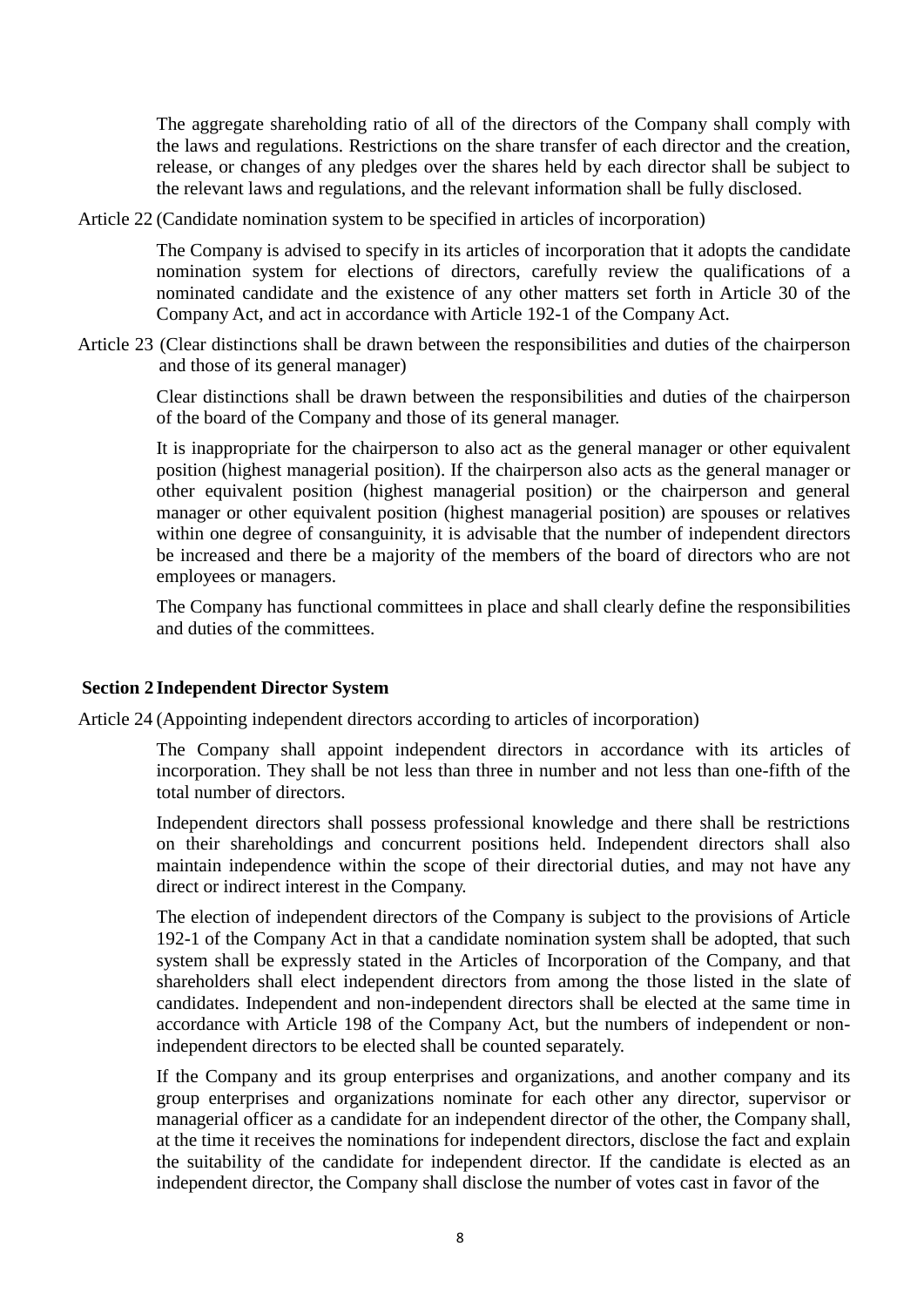The aggregate shareholding ratio of all of the directors of the Company shall comply with the laws and regulations. Restrictions on the share transfer of each director and the creation, release, or changes of any pledges over the shares held by each director shall be subject to the relevant laws and regulations, and the relevant information shall be fully disclosed.

Article 22 (Candidate nomination system to be specified in articles of incorporation)

The Company is advised to specify in its articles of incorporation that it adopts the candidate nomination system for elections of directors, carefully review the qualifications of a nominated candidate and the existence of any other matters set forth in Article 30 of the Company Act, and act in accordance with Article 192-1 of the Company Act.

Article 23 (Clear distinctions shall be drawn between the responsibilities and duties of the chairperson and those of its general manager)

Clear distinctions shall be drawn between the responsibilities and duties of the chairperson of the board of the Company and those of its general manager.

It is inappropriate for the chairperson to also act as the general manager or other equivalent position (highest managerial position). If the chairperson also acts as the general manager or other equivalent position (highest managerial position) or the chairperson and general manager or other equivalent position (highest managerial position) are spouses or relatives within one degree of consanguinity, it is advisable that the number of independent directors be increased and there be a majority of the members of the board of directors who are not employees or managers.

The Company has functional committees in place and shall clearly define the responsibilities and duties of the committees.

#### **Section 2 Independent Director System**

Article 24 (Appointing independent directors according to articles of incorporation)

The Company shall appoint independent directors in accordance with its articles of incorporation. They shall be not less than three in number and not less than one-fifth of the total number of directors.

Independent directors shall possess professional knowledge and there shall be restrictions on their shareholdings and concurrent positions held. Independent directors shall also maintain independence within the scope of their directorial duties, and may not have any direct or indirect interest in the Company.

The election of independent directors of the Company is subject to the provisions of Article 192-1 of the Company Act in that a candidate nomination system shall be adopted, that such system shall be expressly stated in the Articles of Incorporation of the Company, and that shareholders shall elect independent directors from among the those listed in the slate of candidates. Independent and non-independent directors shall be elected at the same time in accordance with Article 198 of the Company Act, but the numbers of independent or nonindependent directors to be elected shall be counted separately.

If the Company and its group enterprises and organizations, and another company and its group enterprises and organizations nominate for each other any director, supervisor or managerial officer as a candidate for an independent director of the other, the Company shall, at the time it receives the nominations for independent directors, disclose the fact and explain the suitability of the candidate for independent director. If the candidate is elected as an independent director, the Company shall disclose the number of votes cast in favor of the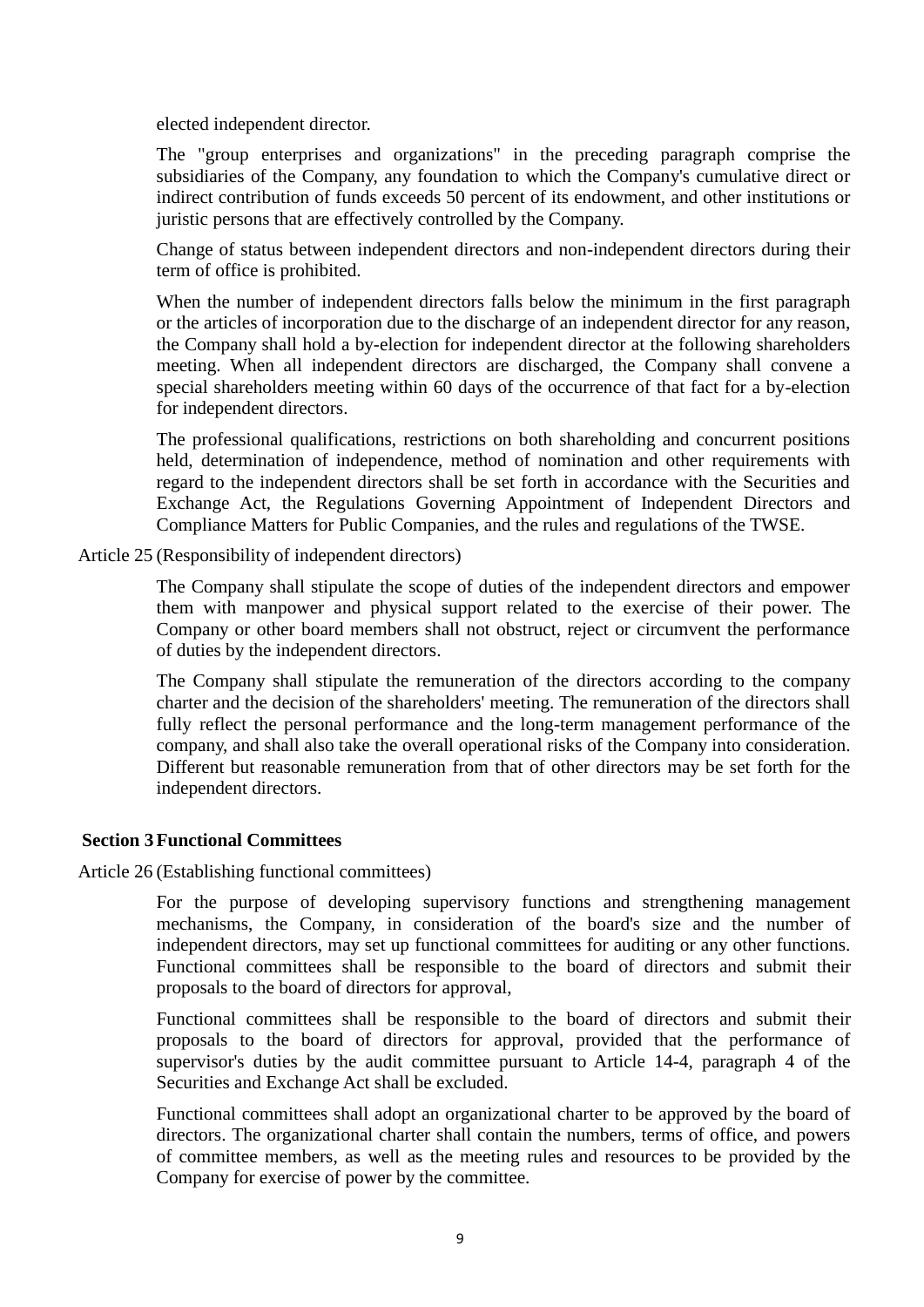elected independent director.

The "group enterprises and organizations" in the preceding paragraph comprise the subsidiaries of the Company, any foundation to which the Company's cumulative direct or indirect contribution of funds exceeds 50 percent of its endowment, and other institutions or juristic persons that are effectively controlled by the Company.

Change of status between independent directors and non-independent directors during their term of office is prohibited.

When the number of independent directors falls below the minimum in the first paragraph or the articles of incorporation due to the discharge of an independent director for any reason, the Company shall hold a by-election for independent director at the following shareholders meeting. When all independent directors are discharged, the Company shall convene a special shareholders meeting within 60 days of the occurrence of that fact for a by-election for independent directors.

The professional qualifications, restrictions on both shareholding and concurrent positions held, determination of independence, method of nomination and other requirements with regard to the independent directors shall be set forth in accordance with the Securities and Exchange Act, the Regulations Governing Appointment of Independent Directors and Compliance Matters for Public Companies, and the rules and regulations of the TWSE.

Article 25 (Responsibility of independent directors)

The Company shall stipulate the scope of duties of the independent directors and empower them with manpower and physical support related to the exercise of their power. The Company or other board members shall not obstruct, reject or circumvent the performance of duties by the independent directors.

The Company shall stipulate the remuneration of the directors according to the company charter and the decision of the shareholders' meeting. The remuneration of the directors shall fully reflect the personal performance and the long-term management performance of the company, and shall also take the overall operational risks of the Company into consideration. Different but reasonable remuneration from that of other directors may be set forth for the independent directors.

#### **Section 3Functional Committees**

Article 26 (Establishing functional committees)

For the purpose of developing supervisory functions and strengthening management mechanisms, the Company, in consideration of the board's size and the number of independent directors, may set up functional committees for auditing or any other functions. Functional committees shall be responsible to the board of directors and submit their proposals to the board of directors for approval,

Functional committees shall be responsible to the board of directors and submit their proposals to the board of directors for approval, provided that the performance of supervisor's duties by the audit committee pursuant to Article 14-4, paragraph 4 of the Securities and Exchange Act shall be excluded.

Functional committees shall adopt an organizational charter to be approved by the board of directors. The organizational charter shall contain the numbers, terms of office, and powers of committee members, as well as the meeting rules and resources to be provided by the Company for exercise of power by the committee.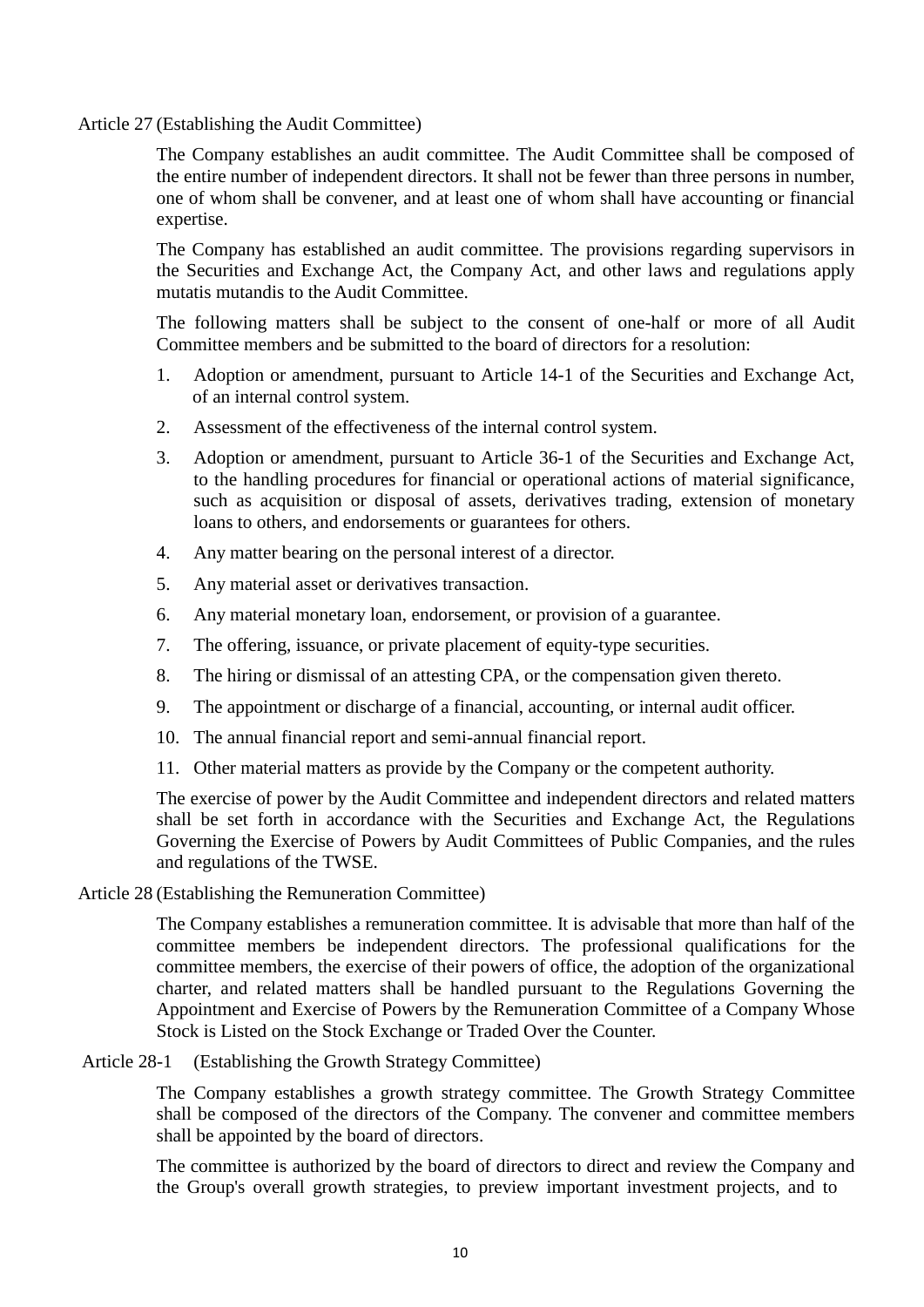Article 27 (Establishing the Audit Committee)

The Company establishes an audit committee. The Audit Committee shall be composed of the entire number of independent directors. It shall not be fewer than three persons in number, one of whom shall be convener, and at least one of whom shall have accounting or financial expertise.

The Company has established an audit committee. The provisions regarding supervisors in the Securities and Exchange Act, the Company Act, and other laws and regulations apply mutatis mutandis to the Audit Committee.

The following matters shall be subject to the consent of one-half or more of all Audit Committee members and be submitted to the board of directors for a resolution:

- 1. Adoption or amendment, pursuant to Article 14-1 of the Securities and Exchange Act, of an internal control system.
- 2. Assessment of the effectiveness of the internal control system.
- 3. Adoption or amendment, pursuant to Article 36-1 of the Securities and Exchange Act, to the handling procedures for financial or operational actions of material significance, such as acquisition or disposal of assets, derivatives trading, extension of monetary loans to others, and endorsements or guarantees for others.
- 4. Any matter bearing on the personal interest of a director.
- 5. Any material asset or derivatives transaction.
- 6. Any material monetary loan, endorsement, or provision of a guarantee.
- 7. The offering, issuance, or private placement of equity-type securities.
- 8. The hiring or dismissal of an attesting CPA, or the compensation given thereto.
- 9. The appointment or discharge of a financial, accounting, or internal audit officer.
- 10. The annual financial report and semi-annual financial report.
- 11. Other material matters as provide by the Company or the competent authority.

The exercise of power by the Audit Committee and independent directors and related matters shall be set forth in accordance with the Securities and Exchange Act, the Regulations Governing the Exercise of Powers by Audit Committees of Public Companies, and the rules and regulations of the TWSE.

Article 28 (Establishing the Remuneration Committee)

The Company establishes a remuneration committee. It is advisable that more than half of the committee members be independent directors. The professional qualifications for the committee members, the exercise of their powers of office, the adoption of the organizational charter, and related matters shall be handled pursuant to the Regulations Governing the Appointment and Exercise of Powers by the Remuneration Committee of a Company Whose Stock is Listed on the Stock Exchange or Traded Over the Counter.

Article 28-1 (Establishing the Growth Strategy Committee)

The Company establishes a growth strategy committee. The Growth Strategy Committee shall be composed of the directors of the Company. The convener and committee members shall be appointed by the board of directors.

The committee is authorized by the board of directors to direct and review the Company and the Group's overall growth strategies, to preview important investment projects, and to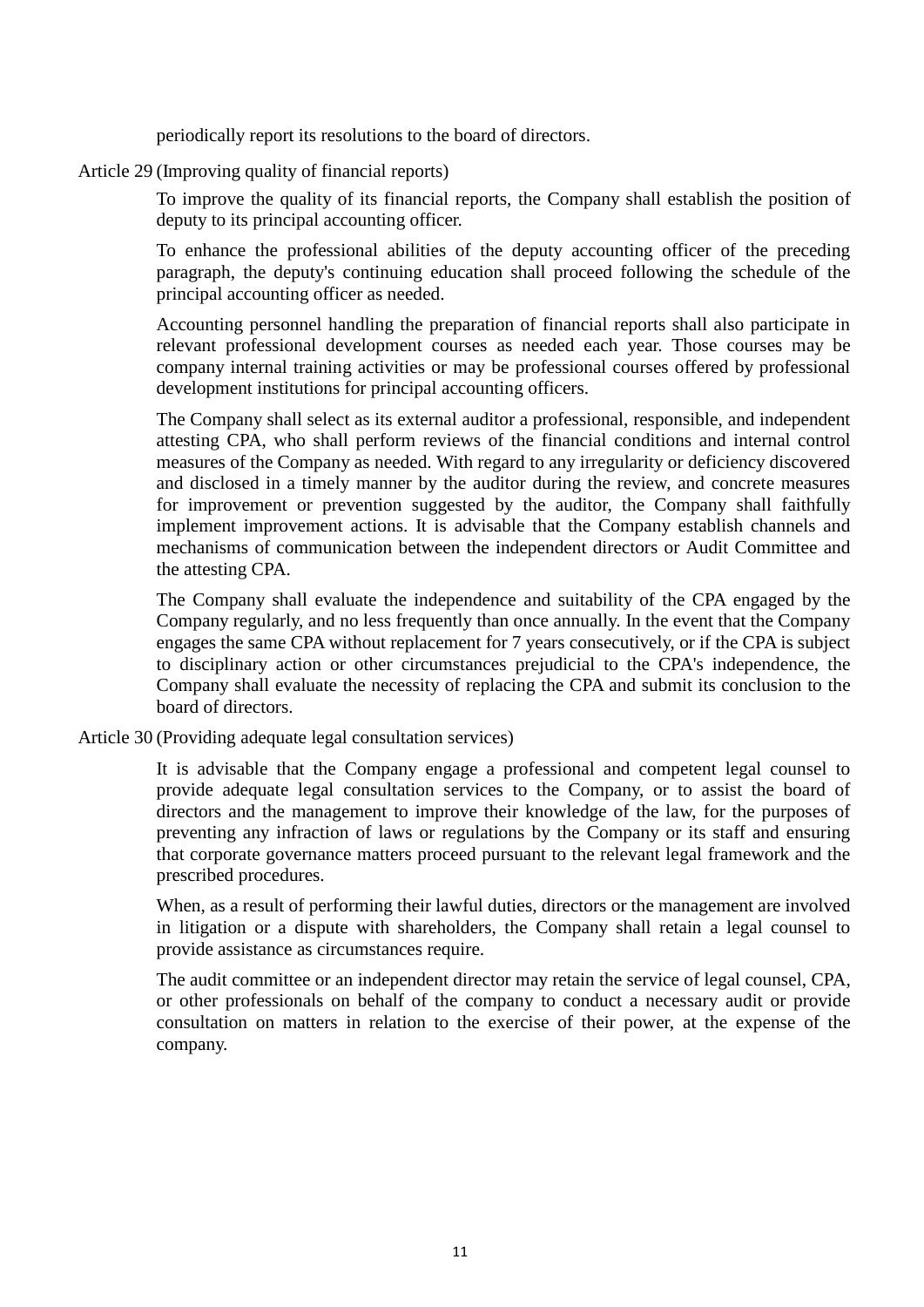periodically report its resolutions to the board of directors.

Article 29 (Improving quality of financial reports)

To improve the quality of its financial reports, the Company shall establish the position of deputy to its principal accounting officer.

To enhance the professional abilities of the deputy accounting officer of the preceding paragraph, the deputy's continuing education shall proceed following the schedule of the principal accounting officer as needed.

Accounting personnel handling the preparation of financial reports shall also participate in relevant professional development courses as needed each year. Those courses may be company internal training activities or may be professional courses offered by professional development institutions for principal accounting officers.

The Company shall select as its external auditor a professional, responsible, and independent attesting CPA, who shall perform reviews of the financial conditions and internal control measures of the Company as needed. With regard to any irregularity or deficiency discovered and disclosed in a timely manner by the auditor during the review, and concrete measures for improvement or prevention suggested by the auditor, the Company shall faithfully implement improvement actions. It is advisable that the Company establish channels and mechanisms of communication between the independent directors or Audit Committee and the attesting CPA.

The Company shall evaluate the independence and suitability of the CPA engaged by the Company regularly, and no less frequently than once annually. In the event that the Company engages the same CPA without replacement for 7 years consecutively, or if the CPA is subject to disciplinary action or other circumstances prejudicial to the CPA's independence, the Company shall evaluate the necessity of replacing the CPA and submit its conclusion to the board of directors.

Article 30 (Providing adequate legal consultation services)

It is advisable that the Company engage a professional and competent legal counsel to provide adequate legal consultation services to the Company, or to assist the board of directors and the management to improve their knowledge of the law, for the purposes of preventing any infraction of laws or regulations by the Company or its staff and ensuring that corporate governance matters proceed pursuant to the relevant legal framework and the prescribed procedures.

When, as a result of performing their lawful duties, directors or the management are involved in litigation or a dispute with shareholders, the Company shall retain a legal counsel to provide assistance as circumstances require.

The audit committee or an independent director may retain the service of legal counsel, CPA, or other professionals on behalf of the company to conduct a necessary audit or provide consultation on matters in relation to the exercise of their power, at the expense of the company.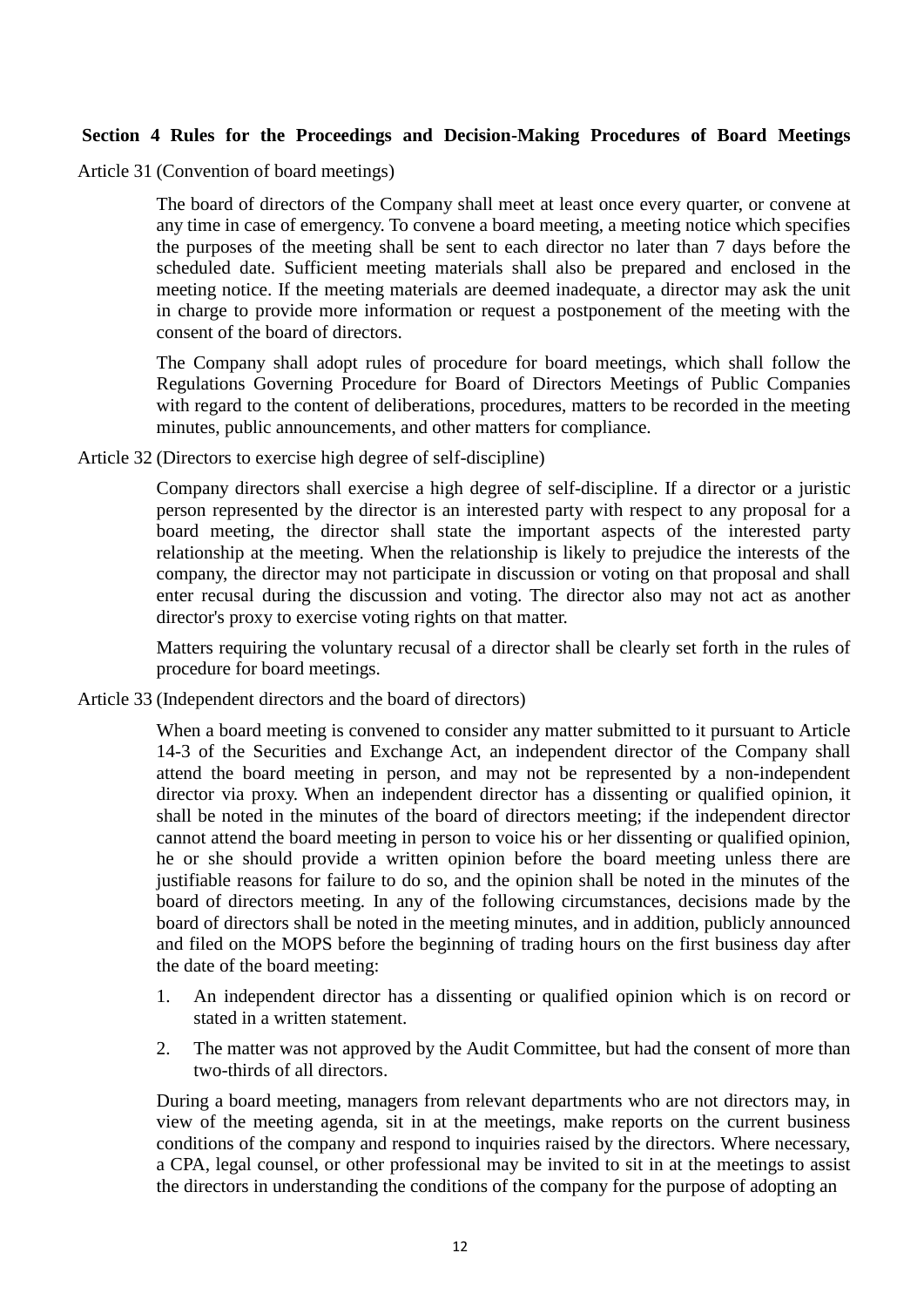#### **Section 4 Rules for the Proceedings and Decision-Making Procedures of Board Meetings**

Article 31 (Convention of board meetings)

The board of directors of the Company shall meet at least once every quarter, or convene at any time in case of emergency. To convene a board meeting, a meeting notice which specifies the purposes of the meeting shall be sent to each director no later than 7 days before the scheduled date. Sufficient meeting materials shall also be prepared and enclosed in the meeting notice. If the meeting materials are deemed inadequate, a director may ask the unit in charge to provide more information or request a postponement of the meeting with the consent of the board of directors.

The Company shall adopt rules of procedure for board meetings, which shall follow the Regulations Governing Procedure for Board of Directors Meetings of Public Companies with regard to the content of deliberations, procedures, matters to be recorded in the meeting minutes, public announcements, and other matters for compliance.

Article 32 (Directors to exercise high degree of self-discipline)

Company directors shall exercise a high degree of self-discipline. If a director or a juristic person represented by the director is an interested party with respect to any proposal for a board meeting, the director shall state the important aspects of the interested party relationship at the meeting. When the relationship is likely to prejudice the interests of the company, the director may not participate in discussion or voting on that proposal and shall enter recusal during the discussion and voting. The director also may not act as another director's proxy to exercise voting rights on that matter.

Matters requiring the voluntary recusal of a director shall be clearly set forth in the rules of procedure for board meetings.

Article 33 (Independent directors and the board of directors)

When a board meeting is convened to consider any matter submitted to it pursuant to Article 14-3 of the Securities and Exchange Act, an independent director of the Company shall attend the board meeting in person, and may not be represented by a non-independent director via proxy. When an independent director has a dissenting or qualified opinion, it shall be noted in the minutes of the board of directors meeting; if the independent director cannot attend the board meeting in person to voice his or her dissenting or qualified opinion, he or she should provide a written opinion before the board meeting unless there are justifiable reasons for failure to do so, and the opinion shall be noted in the minutes of the board of directors meeting. In any of the following circumstances, decisions made by the board of directors shall be noted in the meeting minutes, and in addition, publicly announced and filed on the MOPS before the beginning of trading hours on the first business day after the date of the board meeting:

- 1. An independent director has a dissenting or qualified opinion which is on record or stated in a written statement.
- 2. The matter was not approved by the Audit Committee, but had the consent of more than two-thirds of all directors.

During a board meeting, managers from relevant departments who are not directors may, in view of the meeting agenda, sit in at the meetings, make reports on the current business conditions of the company and respond to inquiries raised by the directors. Where necessary, a CPA, legal counsel, or other professional may be invited to sit in at the meetings to assist the directors in understanding the conditions of the company for the purpose of adopting an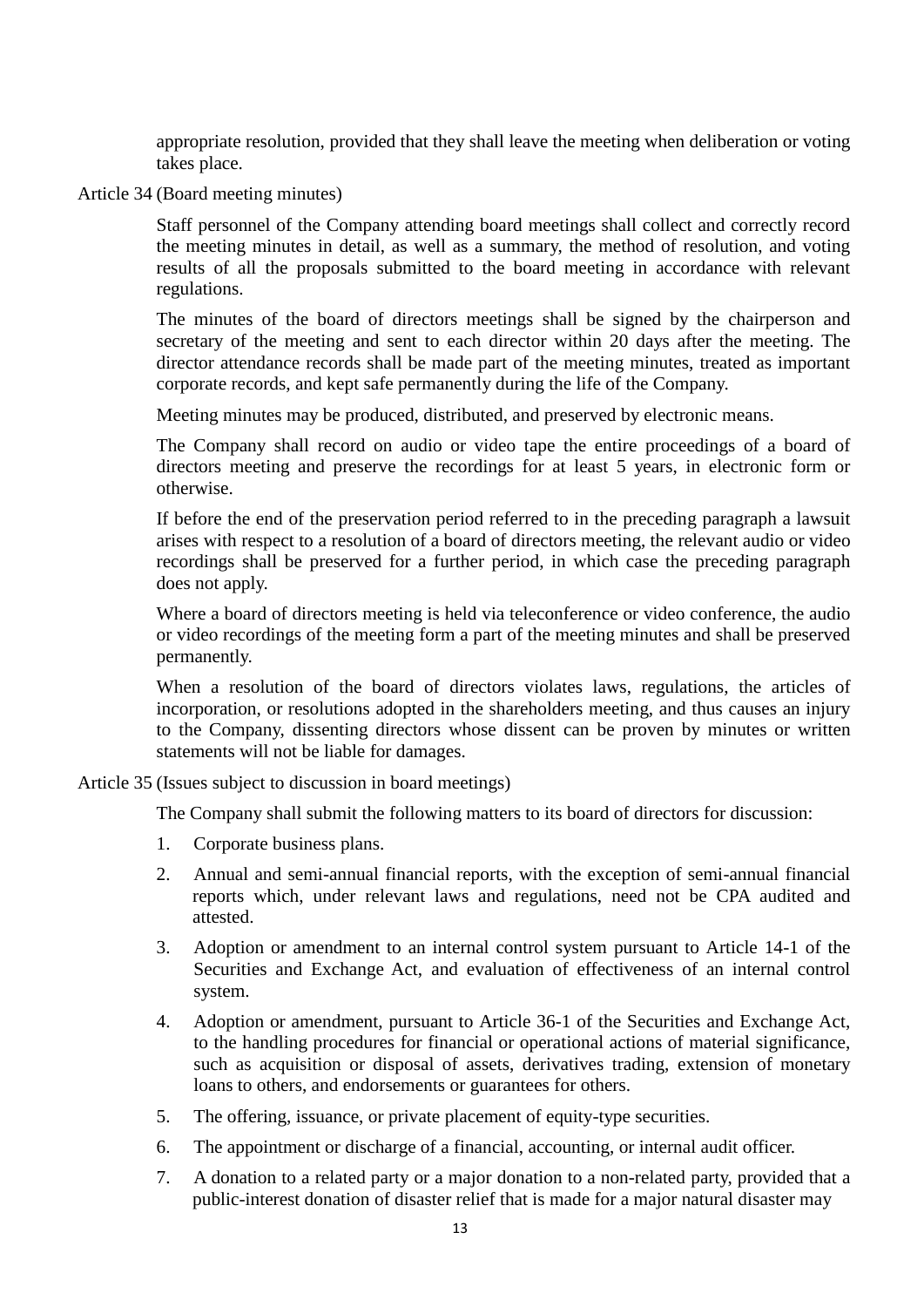appropriate resolution, provided that they shall leave the meeting when deliberation or voting takes place.

Article 34 (Board meeting minutes)

Staff personnel of the Company attending board meetings shall collect and correctly record the meeting minutes in detail, as well as a summary, the method of resolution, and voting results of all the proposals submitted to the board meeting in accordance with relevant regulations.

The minutes of the board of directors meetings shall be signed by the chairperson and secretary of the meeting and sent to each director within 20 days after the meeting. The director attendance records shall be made part of the meeting minutes, treated as important corporate records, and kept safe permanently during the life of the Company.

Meeting minutes may be produced, distributed, and preserved by electronic means.

The Company shall record on audio or video tape the entire proceedings of a board of directors meeting and preserve the recordings for at least 5 years, in electronic form or otherwise.

If before the end of the preservation period referred to in the preceding paragraph a lawsuit arises with respect to a resolution of a board of directors meeting, the relevant audio or video recordings shall be preserved for a further period, in which case the preceding paragraph does not apply.

Where a board of directors meeting is held via teleconference or video conference, the audio or video recordings of the meeting form a part of the meeting minutes and shall be preserved permanently.

When a resolution of the board of directors violates laws, regulations, the articles of incorporation, or resolutions adopted in the shareholders meeting, and thus causes an injury to the Company, dissenting directors whose dissent can be proven by minutes or written statements will not be liable for damages.

Article 35 (Issues subject to discussion in board meetings)

The Company shall submit the following matters to its board of directors for discussion:

- 1. Corporate business plans.
- 2. Annual and semi-annual financial reports, with the exception of semi-annual financial reports which, under relevant laws and regulations, need not be CPA audited and attested.
- 3. Adoption or amendment to an internal control system pursuant to Article 14-1 of the Securities and Exchange Act, and evaluation of effectiveness of an internal control system.
- 4. Adoption or amendment, pursuant to Article 36-1 of the Securities and Exchange Act, to the handling procedures for financial or operational actions of material significance, such as acquisition or disposal of assets, derivatives trading, extension of monetary loans to others, and endorsements or guarantees for others.
- 5. The offering, issuance, or private placement of equity-type securities.
- 6. The appointment or discharge of a financial, accounting, or internal audit officer.
- 7. A donation to a related party or a major donation to a non-related party, provided that a public-interest donation of disaster relief that is made for a major natural disaster may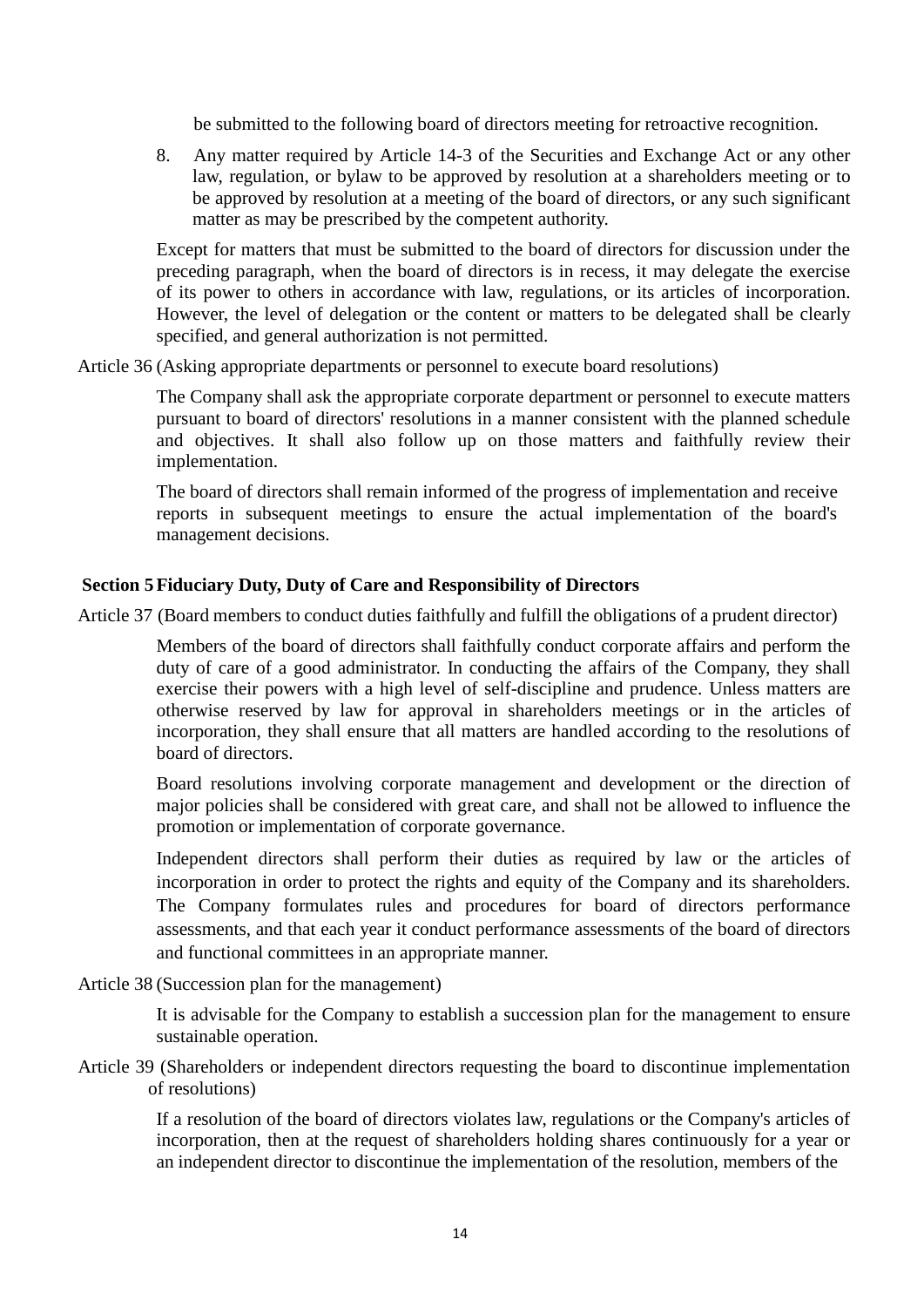be submitted to the following board of directors meeting for retroactive recognition.

8. Any matter required by Article 14-3 of the Securities and Exchange Act or any other law, regulation, or bylaw to be approved by resolution at a shareholders meeting or to be approved by resolution at a meeting of the board of directors, or any such significant matter as may be prescribed by the competent authority.

Except for matters that must be submitted to the board of directors for discussion under the preceding paragraph, when the board of directors is in recess, it may delegate the exercise of its power to others in accordance with law, regulations, or its articles of incorporation. However, the level of delegation or the content or matters to be delegated shall be clearly specified, and general authorization is not permitted.

Article 36 (Asking appropriate departments or personnel to execute board resolutions)

The Company shall ask the appropriate corporate department or personnel to execute matters pursuant to board of directors' resolutions in a manner consistent with the planned schedule and objectives. It shall also follow up on those matters and faithfully review their implementation.

The board of directors shall remain informed of the progress of implementation and receive reports in subsequent meetings to ensure the actual implementation of the board's management decisions.

#### **Section 5Fiduciary Duty, Duty of Care and Responsibility of Directors**

Article 37 (Board members to conduct duties faithfully and fulfill the obligations of a prudent director)

Members of the board of directors shall faithfully conduct corporate affairs and perform the duty of care of a good administrator. In conducting the affairs of the Company, they shall exercise their powers with a high level of self-discipline and prudence. Unless matters are otherwise reserved by law for approval in shareholders meetings or in the articles of incorporation, they shall ensure that all matters are handled according to the resolutions of board of directors.

Board resolutions involving corporate management and development or the direction of major policies shall be considered with great care, and shall not be allowed to influence the promotion or implementation of corporate governance.

Independent directors shall perform their duties as required by law or the articles of incorporation in order to protect the rights and equity of the Company and its shareholders. The Company formulates rules and procedures for board of directors performance assessments, and that each year it conduct performance assessments of the board of directors and functional committees in an appropriate manner.

Article 38 (Succession plan for the management)

It is advisable for the Company to establish a succession plan for the management to ensure sustainable operation.

Article 39 (Shareholders or independent directors requesting the board to discontinue implementation of resolutions)

> If a resolution of the board of directors violates law, regulations or the Company's articles of incorporation, then at the request of shareholders holding shares continuously for a year or an independent director to discontinue the implementation of the resolution, members of the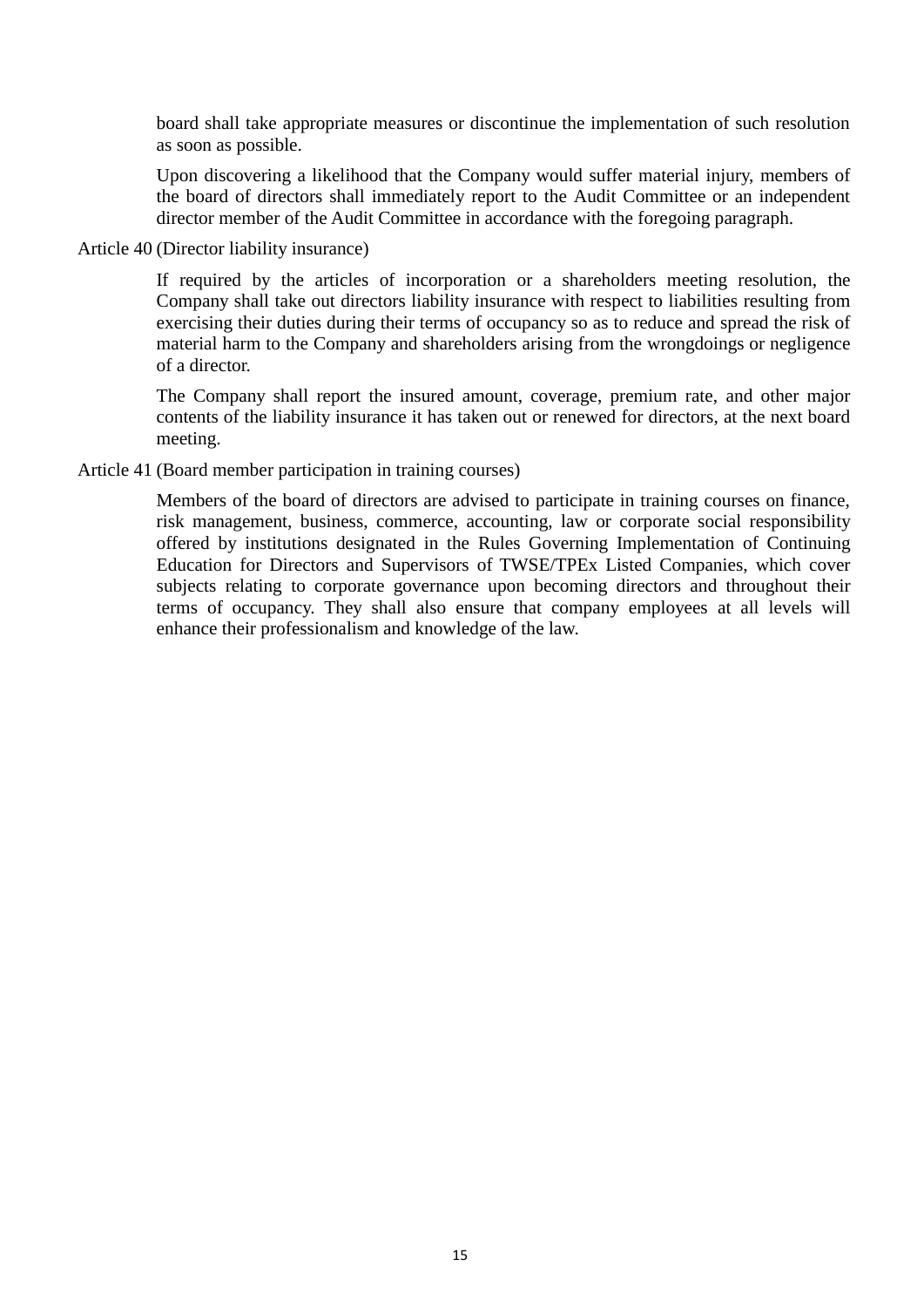board shall take appropriate measures or discontinue the implementation of such resolution as soon as possible.

Upon discovering a likelihood that the Company would suffer material injury, members of the board of directors shall immediately report to the Audit Committee or an independent director member of the Audit Committee in accordance with the foregoing paragraph.

Article 40 (Director liability insurance)

If required by the articles of incorporation or a shareholders meeting resolution, the Company shall take out directors liability insurance with respect to liabilities resulting from exercising their duties during their terms of occupancy so as to reduce and spread the risk of material harm to the Company and shareholders arising from the wrongdoings or negligence of a director.

The Company shall report the insured amount, coverage, premium rate, and other major contents of the liability insurance it has taken out or renewed for directors, at the next board meeting.

Article 41 (Board member participation in training courses)

Members of the board of directors are advised to participate in training courses on finance, risk management, business, commerce, accounting, law or corporate social responsibility offered by institutions designated in the Rules Governing Implementation of Continuing Education for Directors and Supervisors of TWSE/TPEx Listed Companies, which cover subjects relating to corporate governance upon becoming directors and throughout their terms of occupancy. They shall also ensure that company employees at all levels will enhance their professionalism and knowledge of the law.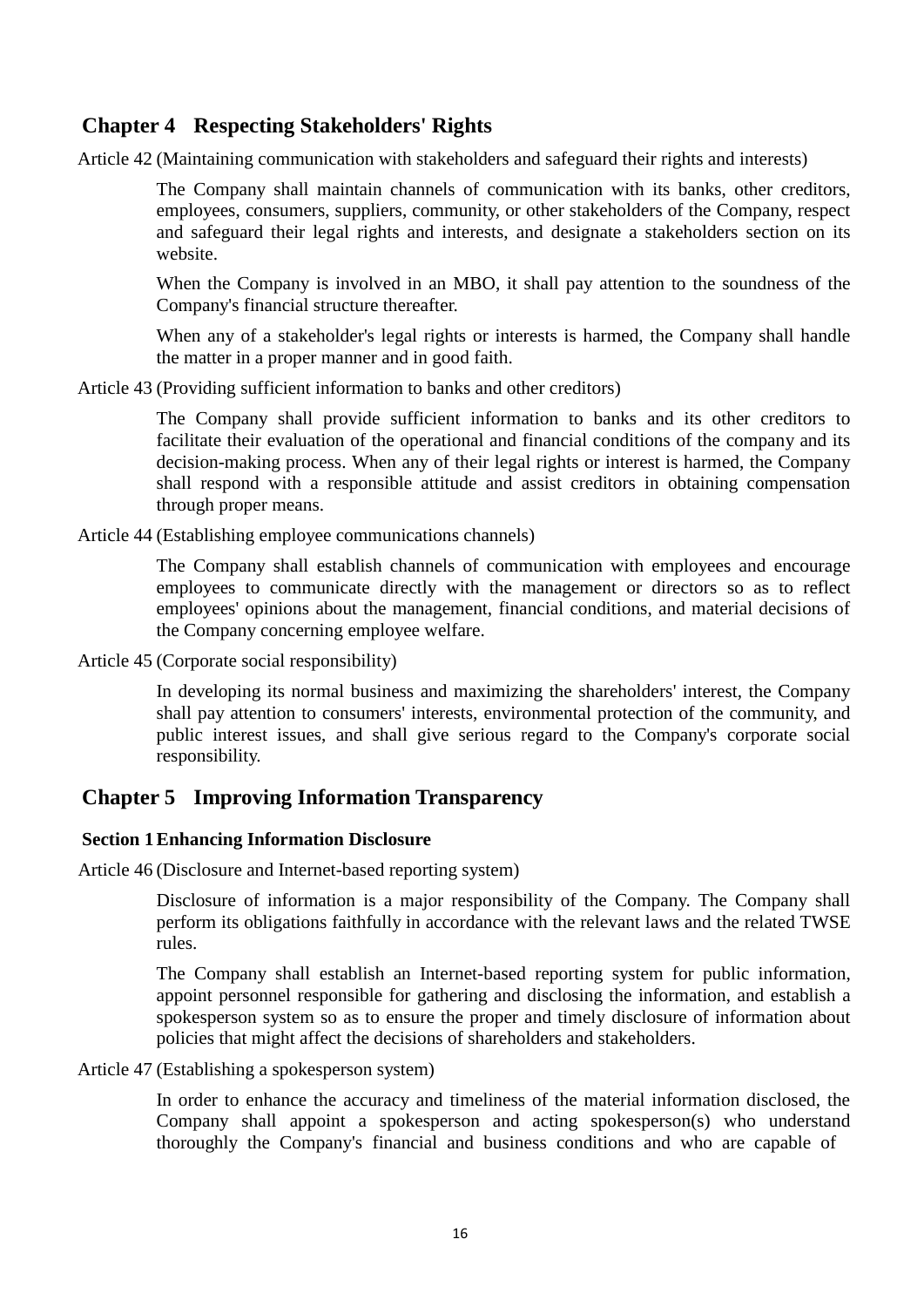# **Chapter 4 Respecting Stakeholders' Rights**

Article 42 (Maintaining communication with stakeholders and safeguard their rights and interests)

The Company shall maintain channels of communication with its banks, other creditors, employees, consumers, suppliers, community, or other stakeholders of the Company, respect and safeguard their legal rights and interests, and designate a stakeholders section on its website.

When the Company is involved in an MBO, it shall pay attention to the soundness of the Company's financial structure thereafter.

When any of a stakeholder's legal rights or interests is harmed, the Company shall handle the matter in a proper manner and in good faith.

Article 43 (Providing sufficient information to banks and other creditors)

The Company shall provide sufficient information to banks and its other creditors to facilitate their evaluation of the operational and financial conditions of the company and its decision-making process. When any of their legal rights or interest is harmed, the Company shall respond with a responsible attitude and assist creditors in obtaining compensation through proper means.

Article 44 (Establishing employee communications channels)

The Company shall establish channels of communication with employees and encourage employees to communicate directly with the management or directors so as to reflect employees' opinions about the management, financial conditions, and material decisions of the Company concerning employee welfare.

Article 45 (Corporate social responsibility)

In developing its normal business and maximizing the shareholders' interest, the Company shall pay attention to consumers' interests, environmental protection of the community, and public interest issues, and shall give serious regard to the Company's corporate social responsibility.

# **Chapter 5 Improving Information Transparency**

#### **Section 1Enhancing Information Disclosure**

Article 46 (Disclosure and Internet-based reporting system)

Disclosure of information is a major responsibility of the Company. The Company shall perform its obligations faithfully in accordance with the relevant laws and the related TWSE rules.

The Company shall establish an Internet-based reporting system for public information, appoint personnel responsible for gathering and disclosing the information, and establish a spokesperson system so as to ensure the proper and timely disclosure of information about policies that might affect the decisions of shareholders and stakeholders.

Article 47 (Establishing a spokesperson system)

In order to enhance the accuracy and timeliness of the material information disclosed, the Company shall appoint a spokesperson and acting spokesperson(s) who understand thoroughly the Company's financial and business conditions and who are capable of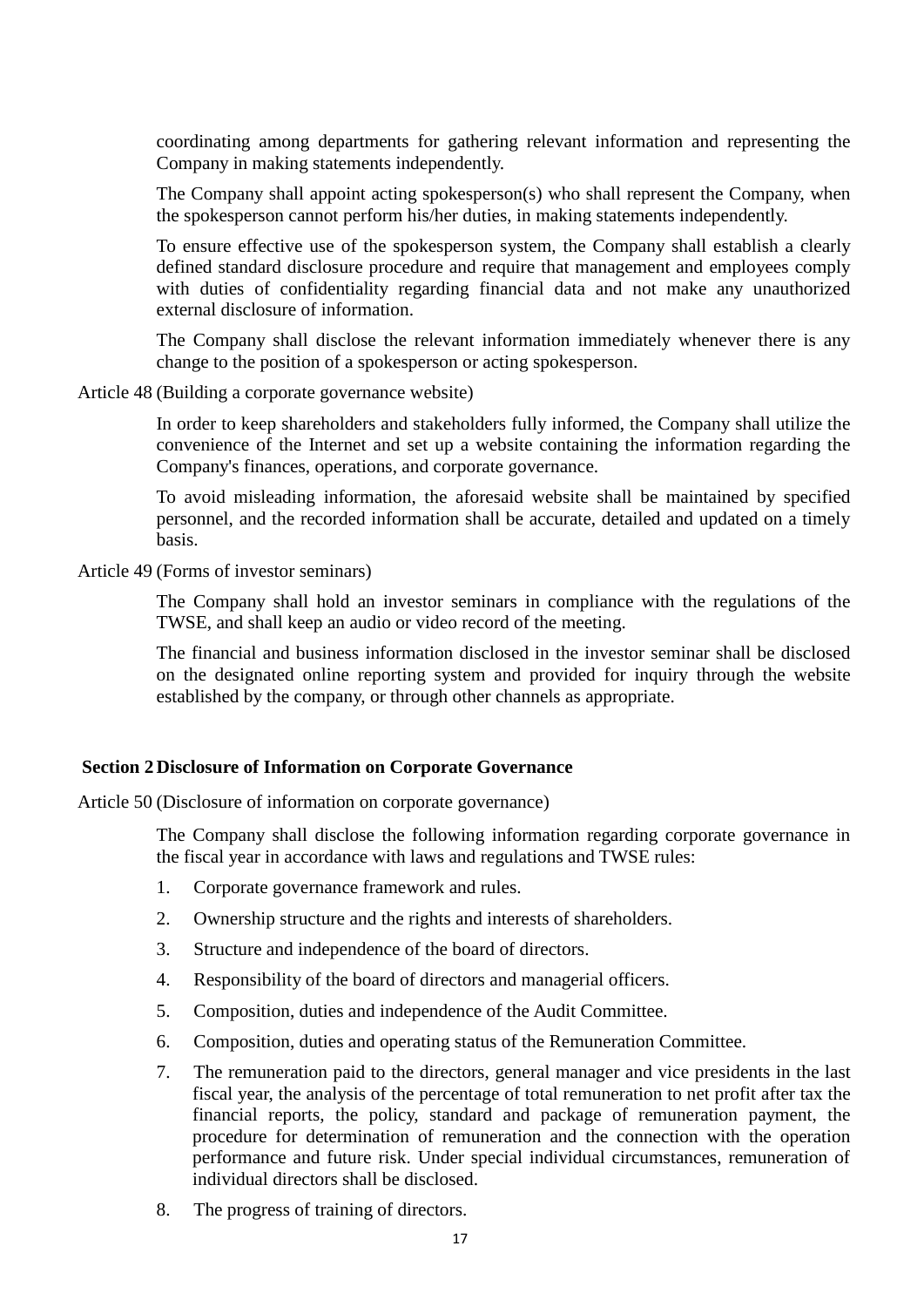coordinating among departments for gathering relevant information and representing the Company in making statements independently.

The Company shall appoint acting spokesperson(s) who shall represent the Company, when the spokesperson cannot perform his/her duties, in making statements independently.

To ensure effective use of the spokesperson system, the Company shall establish a clearly defined standard disclosure procedure and require that management and employees comply with duties of confidentiality regarding financial data and not make any unauthorized external disclosure of information.

The Company shall disclose the relevant information immediately whenever there is any change to the position of a spokesperson or acting spokesperson.

Article 48 (Building a corporate governance website)

In order to keep shareholders and stakeholders fully informed, the Company shall utilize the convenience of the Internet and set up a website containing the information regarding the Company's finances, operations, and corporate governance.

To avoid misleading information, the aforesaid website shall be maintained by specified personnel, and the recorded information shall be accurate, detailed and updated on a timely basis.

Article 49 (Forms of investor seminars)

The Company shall hold an investor seminars in compliance with the regulations of the TWSE, and shall keep an audio or video record of the meeting.

The financial and business information disclosed in the investor seminar shall be disclosed on the designated online reporting system and provided for inquiry through the website established by the company, or through other channels as appropriate.

#### **Section 2Disclosure of Information on Corporate Governance**

Article 50 (Disclosure of information on corporate governance)

The Company shall disclose the following information regarding corporate governance in the fiscal year in accordance with laws and regulations and TWSE rules:

- 1. Corporate governance framework and rules.
- 2. Ownership structure and the rights and interests of shareholders.
- 3. Structure and independence of the board of directors.
- 4. Responsibility of the board of directors and managerial officers.
- 5. Composition, duties and independence of the Audit Committee.
- 6. Composition, duties and operating status of the Remuneration Committee.
- 7. The remuneration paid to the directors, general manager and vice presidents in the last fiscal year, the analysis of the percentage of total remuneration to net profit after tax the financial reports, the policy, standard and package of remuneration payment, the procedure for determination of remuneration and the connection with the operation performance and future risk. Under special individual circumstances, remuneration of individual directors shall be disclosed.
- 8. The progress of training of directors.